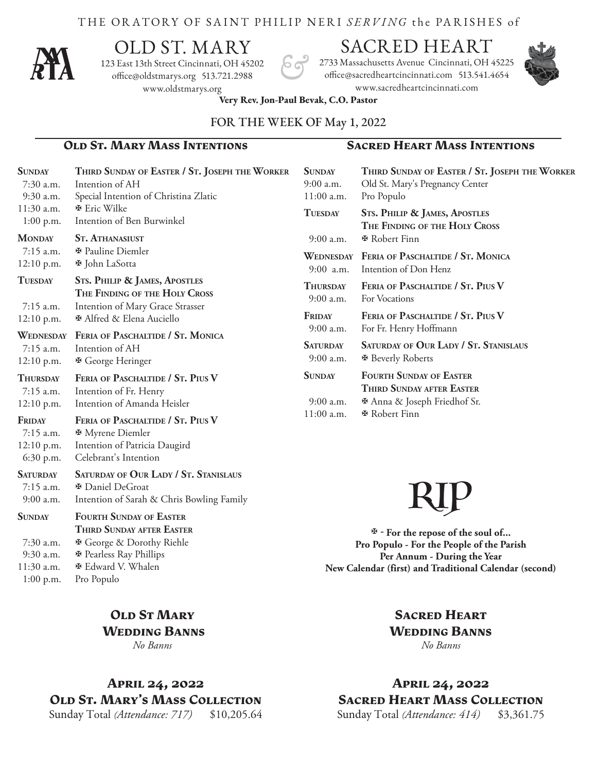#### THE ORATORY OF SAINT PHILIP NERI *SERVING* the PA R ISHES of



# OLD ST. MARY

123 East 13th Street Cincinnati, OH 45202 office@oldstmarys.org 513.721.2988 www.oldstmarys.org

# SACRED HEART

2733 Massachusetts Avenue Cincinnati, OH 45225 office@sacredheartcincinnati.com 513.541.4654 www.sacredheartcincinnati.com



**Very Rev. Jon-Paul Bevak, C.O. Pastor** 

#### FOR THE WEEK OF May 1, 2022

#### **Old St. Mary Mass Intentions Sacred Heart Mass Intentions**

| <b>SUNDAY</b><br>$7:30$ a.m.<br>9:30 a.m.                            | THIRD SUNDAY OF EASTER / ST. JOSEPH THE WORKER<br>Intention of AH<br>Special Intention of Christina Zlatic                                                                                   | <b>SUNDAY</b><br>9:00 a.m.<br>11:00 a.m.                                                                                                                            | THIRD SUNDAY OF EASTER / ST. JOSEPH THE WORKER<br>Old St. Mary's Pregnancy Center<br>Pro Populo                    |
|----------------------------------------------------------------------|----------------------------------------------------------------------------------------------------------------------------------------------------------------------------------------------|---------------------------------------------------------------------------------------------------------------------------------------------------------------------|--------------------------------------------------------------------------------------------------------------------|
| 11:30 a.m.<br>$1:00$ p.m.                                            | <b>E</b> Eric Wilke<br>Intention of Ben Burwinkel                                                                                                                                            | <b>TUESDAY</b>                                                                                                                                                      | <b>STS. PHILIP &amp; JAMES, APOSTLES</b><br>THE FINDING OF THE HOLY CROSS                                          |
| <b>MONDAY</b><br>$7:15$ a.m.                                         | <b>ST. ATHANASIUST</b><br><b><math>⊉</math></b> Pauline Diemler                                                                                                                              | 9:00 a.m.<br>WEDNESDAY                                                                                                                                              | <b><math>\Phi</math></b> Robert Finn<br>FERIA OF PASCHALTIDE / ST. MONICA                                          |
| 12:10 p.m.                                                           | <b><math>\Phi</math></b> John LaSotta                                                                                                                                                        | 9:00 a.m.                                                                                                                                                           | Intention of Don Henz                                                                                              |
| <b>TUESDAY</b><br>$7:15$ a.m.                                        | <b>STS. PHILIP &amp; JAMES, APOSTLES</b><br>THE FINDING OF THE HOLY CROSS<br>Intention of Mary Grace Strasser                                                                                | <b>THURSDAY</b><br>9:00 a.m.                                                                                                                                        | FERIA OF PASCHALTIDE / ST. PIUS V<br>For Vocations                                                                 |
| $12:10$ p.m.                                                         | <b><math>\Phi</math> Alfred &amp; Elena Auciello</b>                                                                                                                                         | FRIDAY<br>9:00 a.m.                                                                                                                                                 | FERIA OF PASCHALTIDE / ST. PIUS V<br>For Fr. Henry Hoffmann                                                        |
| WEDNESDAY<br>$7:15$ a.m.<br>12:10 p.m.                               | FERIA OF PASCHALTIDE / ST. MONICA<br>Intention of AH<br><b><math>\Phi</math></b> George Heringer                                                                                             | <b>SATURDAY</b><br>$9:00$ a.m.                                                                                                                                      | SATURDAY OF OUR LADY / ST. STANISLAUS<br><b><math>\Phi</math> Beverly Roberts</b>                                  |
| <b>THURSDAY</b><br>$7:15$ a.m.<br>$12:10$ p.m.                       | FERIA OF PASCHALTIDE / ST. PIUS V<br>Intention of Fr. Henry<br>Intention of Amanda Heisler                                                                                                   | <b>SUNDAY</b><br>9:00 a.m.                                                                                                                                          | <b>FOURTH SUNDAY OF EASTER</b><br>THIRD SUNDAY AFTER EASTER<br><b><math>\Phi</math></b> Anna & Joseph Friedhof Sr. |
| FRIDAY<br>$7:15$ a.m.<br>12:10 p.m.<br>$6:30$ p.m.                   | FERIA OF PASCHALTIDE / ST. PIUS V<br><b><math>\Phi</math></b> Myrene Diemler<br>Intention of Patricia Daugird<br>Celebrant's Intention                                                       | 11:00 a.m.                                                                                                                                                          | <b><i>I</i></b> Robert Finn                                                                                        |
| <b>SATURDAY</b><br>7:15 a.m.<br>9:00 a.m.                            | SATURDAY OF OUR LADY / ST. STANISLAUS<br><b><math>⊌</math></b> Daniel DeGroat<br>Intention of Sarah & Chris Bowling Family                                                                   |                                                                                                                                                                     |                                                                                                                    |
| <b>SUNDAY</b><br>$7:30$ a.m.<br>9:30 a.m.<br>11:30 a.m.<br>1:00 p.m. | <b>FOURTH SUNDAY OF EASTER</b><br>THIRD SUNDAY AFTER EASTER<br><b>※</b> George & Dorothy Riehle<br><b>※</b> Pearless Ray Phillips<br><b><math>\Phi</math></b> Edward V. Whalen<br>Pro Populo | For the repose of the soul of<br>Pro Populo - For the People of the Parish<br>Per Annum - During the Year<br>New Calendar (first) and Traditional Calendar (second) |                                                                                                                    |
|                                                                      |                                                                                                                                                                                              |                                                                                                                                                                     |                                                                                                                    |

**OLD ST MARY Wedding Banns** *No Banns*

**April 24, 2022 Old St. Mary's Mass Collection** Sunday Total *(Attendance: 717)* \$10,205.64

## **Sacred Heart Wedding Banns** *No Banns*

**April 24, 2022 Sacred Heart Mass Collection** Sunday Total *(Attendance: 414)* \$3,361.75